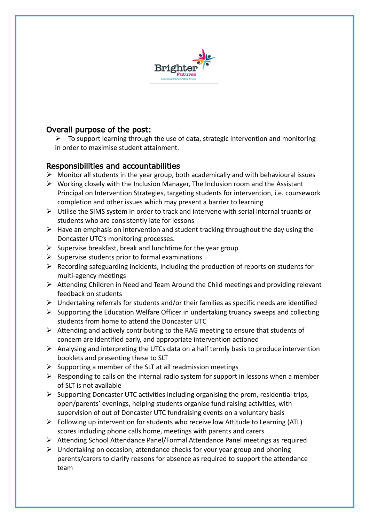

## Overall purpose of the post:

 $\triangleright$  To support learning through the use of data, strategic intervention and monitoring in order to maximise student attainment.

## Responsibilities and accountabilities

- $\triangleright$  Monitor all students in the year group, both academically and with behavioural issues
- $\triangleright$  Working closely with the Inclusion Manager, The Inclusion room and the Assistant Principal on Intervention Strategies, targeting students for intervention, i.e. coursework completion and other issues which may present a barrier to learning
- $\triangleright$  Utilise the SIMS system in order to track and intervene with serial internal truants or students who are consistently late for lessons
- $\triangleright$  Have an emphasis on intervention and student tracking throughout the day using the Doncaster UTC's monitoring processes.
- $\triangleright$  Supervise breakfast, break and lunchtime for the year group
- $\triangleright$  Supervise students prior to formal examinations
- $\triangleright$  Recording safeguarding incidents, including the production of reports on students for multi-agency meetings
- Attending Children in Need and Team Around the Child meetings and providing relevant feedback on students
- $\triangleright$  Undertaking referrals for students and/or their families as specific needs are identified
- $\triangleright$  Supporting the Education Welfare Officer in undertaking truancy sweeps and collecting students from home to attend the Doncaster UTC
- $\triangleright$  Attending and actively contributing to the RAG meeting to ensure that students of concern are identified early, and appropriate intervention actioned
- $\triangleright$  Analysing and interpreting the UTCs data on a half termly basis to produce intervention booklets and presenting these to SLT
- $\triangleright$  Supporting a member of the SLT at all readmission meetings
- $\triangleright$  Responding to calls on the internal radio system for support in lessons when a member of SLT is not available
- $\triangleright$  Supporting Doncaster UTC activities including organising the prom, residential trips, open/parents' evenings, helping students organise fund raising activities, with supervision of out of Doncaster UTC fundraising events on a voluntary basis
- $\triangleright$  Following up intervention for students who receive low Attitude to Learning (ATL) scores including phone calls home, meetings with parents and carers
- $\triangleright$  Attending School Attendance Panel/Formal Attendance Panel meetings as required
- $\triangleright$  Undertaking on occasion, attendance checks for your year group and phoning parents/carers to clarify reasons for absence as required to support the attendance team